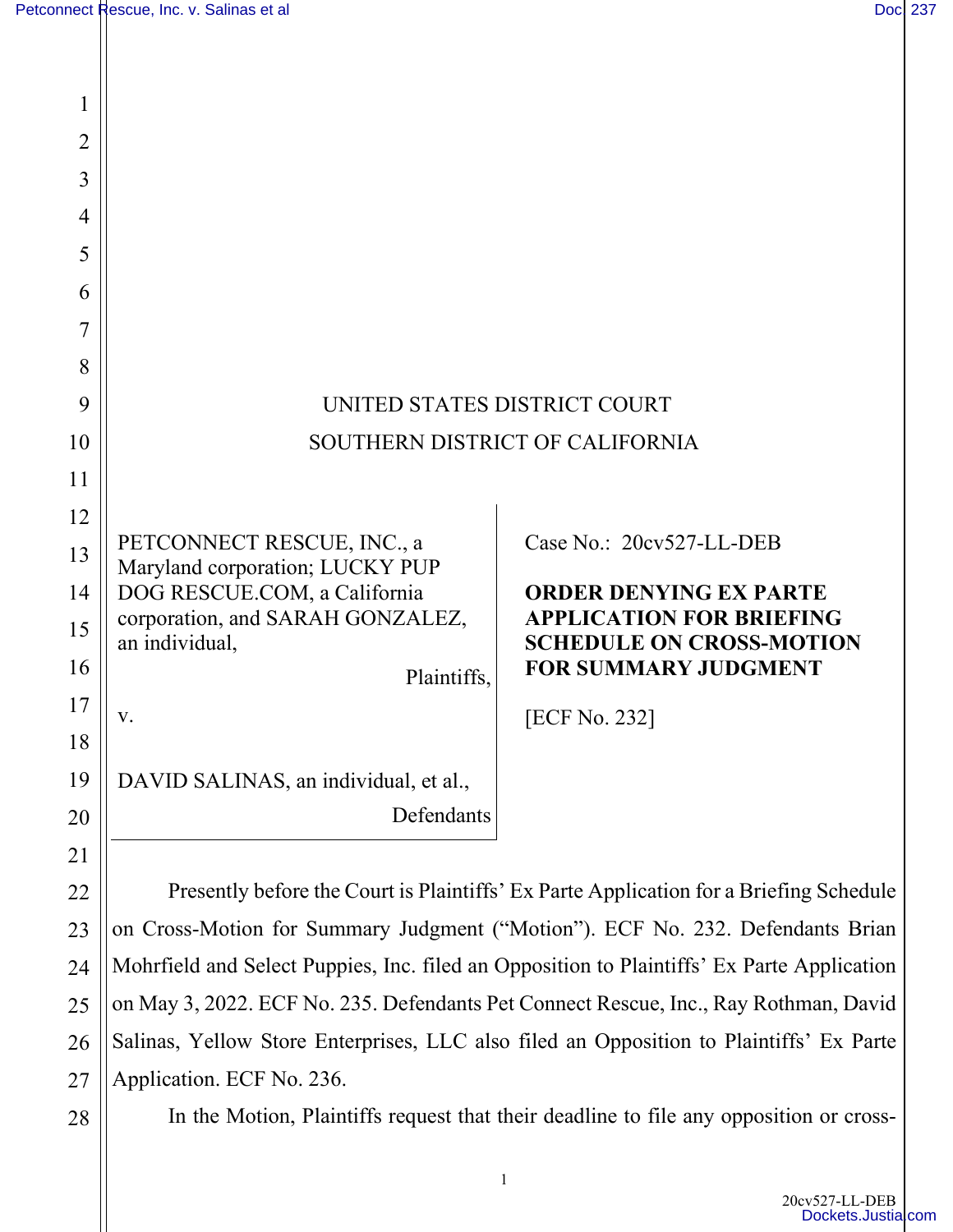| 1              |                                                               |                                                                    |
|----------------|---------------------------------------------------------------|--------------------------------------------------------------------|
| $\overline{2}$ |                                                               |                                                                    |
| 3              |                                                               |                                                                    |
| $\overline{4}$ |                                                               |                                                                    |
| 5              |                                                               |                                                                    |
| 6              |                                                               |                                                                    |
| 7              |                                                               |                                                                    |
| 8              |                                                               |                                                                    |
| 9              | UNITED STATES DISTRICT COURT                                  |                                                                    |
| 10             | SOUTHERN DISTRICT OF CALIFORNIA                               |                                                                    |
| 11             |                                                               |                                                                    |
| 12             |                                                               |                                                                    |
| 13             | PETCONNECT RESCUE, INC., a<br>Maryland corporation; LUCKY PUP | Case No.: 20cv527-LL-DEB                                           |
| 14             | DOG RESCUE.COM, a California                                  | <b>ORDER DENYING EX PARTE</b>                                      |
| 15             | corporation, and SARAH GONZALEZ,<br>an individual,            | <b>APPLICATION FOR BRIEFING</b><br><b>SCHEDULE ON CROSS-MOTION</b> |
| 16             | Plaintiffs,                                                   | <b>FOR SUMMARY JUDGMENT</b>                                        |
| 17             | V.                                                            | [ECF No. 232]                                                      |
| 18             |                                                               |                                                                    |
| 19             | DAVID SALINAS, an individual, et al.,                         |                                                                    |
| 20             | Defendants                                                    |                                                                    |
| 21             |                                                               |                                                                    |

Presently before the Court is Plaintiffs' Ex Parte Application for a Briefing Schedule on Cross-Motion for Summary Judgment ("Motion"). ECF No. 232. Defendants Brian Mohrfield and Select Puppies, Inc. filed an Opposition to Plaintiffs' Ex Parte Application on May 3, 2022. ECF No. 235. Defendants Pet Connect Rescue, Inc., Ray Rothman, David Salinas, Yellow Store Enterprises, LLC also filed an Opposition to Plaintiffs' Ex Parte Application. ECF No. 236.

28

22

23

24

25

26

27

In the Motion, Plaintiffs request that their deadline to file any opposition or cross-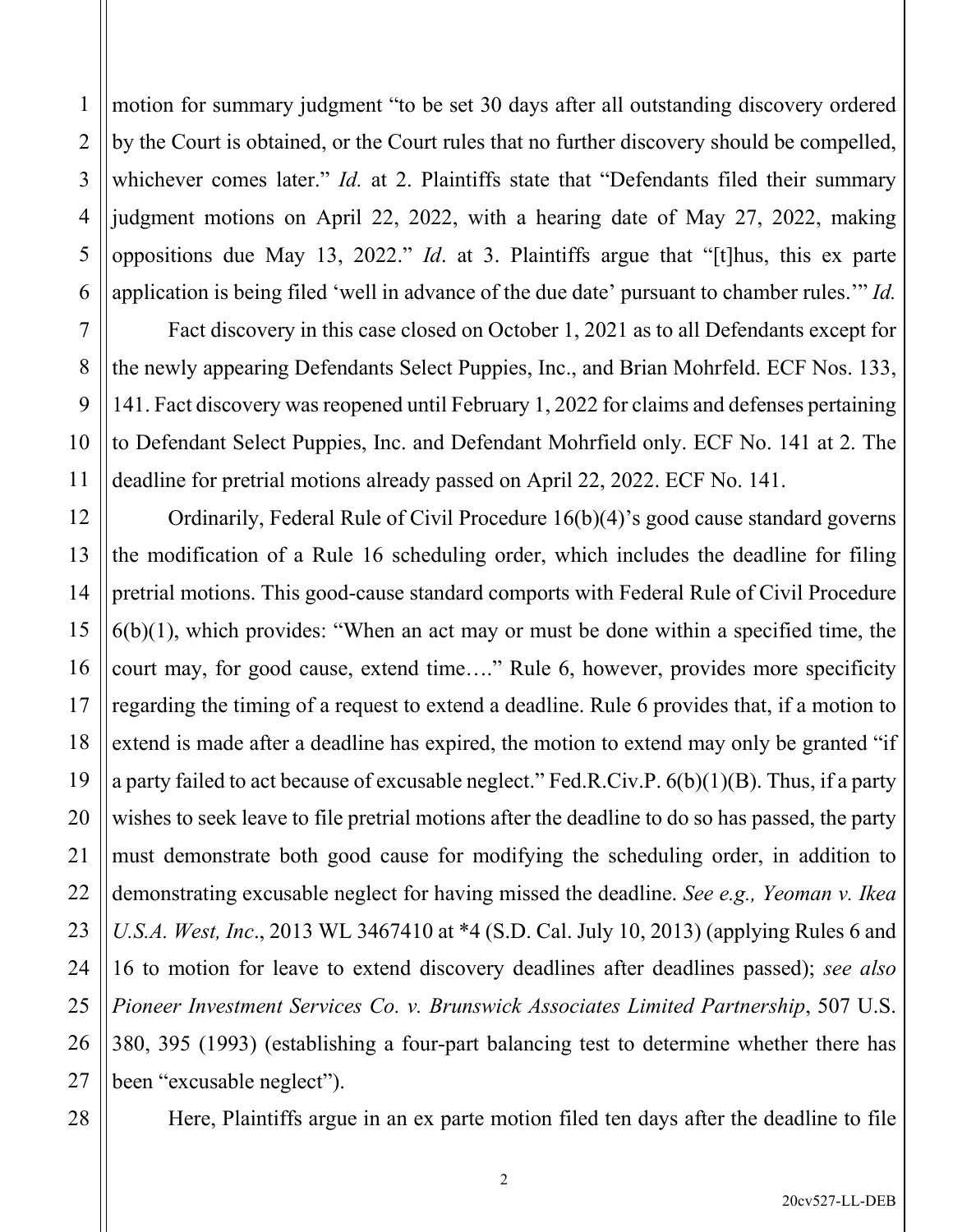1 2 3 4 5 6 motion for summary judgment "to be set 30 days after all outstanding discovery ordered by the Court is obtained, or the Court rules that no further discovery should be compelled, whichever comes later." *Id.* at 2. Plaintiffs state that "Defendants filed their summary judgment motions on April 22, 2022, with a hearing date of May 27, 2022, making oppositions due May 13, 2022." *Id*. at 3. Plaintiffs argue that "[t]hus, this ex parte application is being filed 'well in advance of the due date' pursuant to chamber rules.'" *Id.* 

Fact discovery in this case closed on October 1, 2021 as to all Defendants except for the newly appearing Defendants Select Puppies, Inc., and Brian Mohrfeld. ECF Nos. 133, 141. Fact discovery was reopened until February 1, 2022 for claims and defenses pertaining to Defendant Select Puppies, Inc. and Defendant Mohrfield only. ECF No. 141 at 2. The deadline for pretrial motions already passed on April 22, 2022. ECF No. 141.

Ordinarily, Federal Rule of Civil Procedure 16(b)(4)'s good cause standard governs the modification of a Rule 16 scheduling order, which includes the deadline for filing pretrial motions. This good-cause standard comports with Federal Rule of Civil Procedure  $6(b)(1)$ , which provides: "When an act may or must be done within a specified time, the court may, for good cause, extend time…." Rule 6, however, provides more specificity regarding the timing of a request to extend a deadline. Rule 6 provides that, if a motion to extend is made after a deadline has expired, the motion to extend may only be granted "if a party failed to act because of excusable neglect." Fed.R.Civ.P. 6(b)(1)(B). Thus, if a party wishes to seek leave to file pretrial motions after the deadline to do so has passed, the party must demonstrate both good cause for modifying the scheduling order, in addition to demonstrating excusable neglect for having missed the deadline. *See e.g., Yeoman v. Ikea U.S.A. West, Inc*., 2013 WL 3467410 at \*4 (S.D. Cal. July 10, 2013) (applying Rules 6 and 16 to motion for leave to extend discovery deadlines after deadlines passed); *see also Pioneer Investment Services Co. v. Brunswick Associates Limited Partnership*, 507 U.S. 380, 395 (1993) (establishing a four-part balancing test to determine whether there has been "excusable neglect").

7

8

9

10

11

12

13

14

15

16

17

18

19

20

21

22

23

24

25

Here, Plaintiffs argue in an ex parte motion filed ten days after the deadline to file